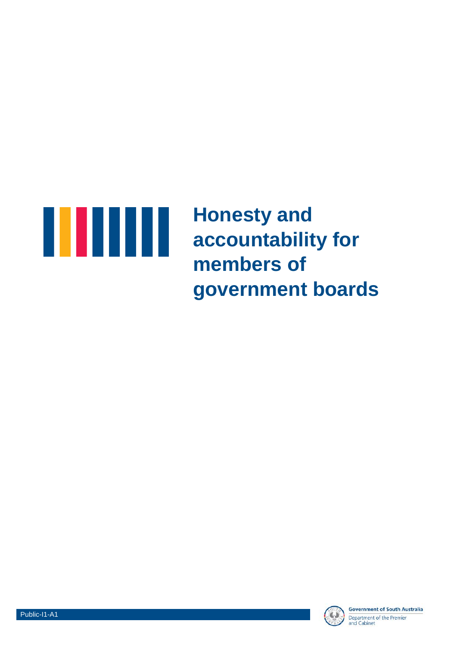

**Honesty and accountability for members of government boards**



**Government of South Australia** Department of the Premier<br>and Cabinet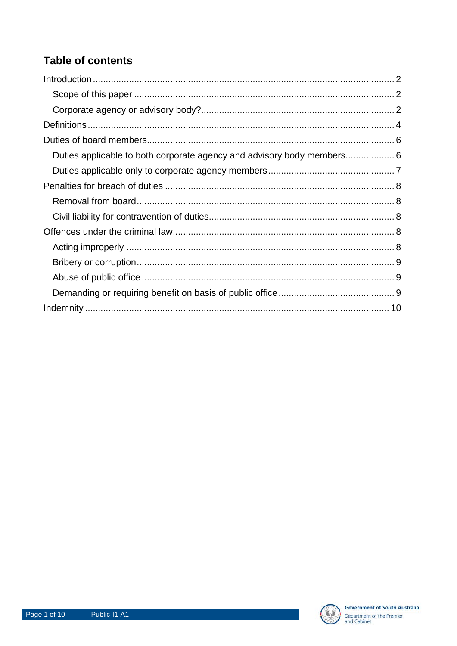# **Table of contents**

| Duties applicable to both corporate agency and advisory body members 6 |  |
|------------------------------------------------------------------------|--|
|                                                                        |  |
|                                                                        |  |
|                                                                        |  |
|                                                                        |  |
|                                                                        |  |
|                                                                        |  |
|                                                                        |  |
|                                                                        |  |
|                                                                        |  |
|                                                                        |  |

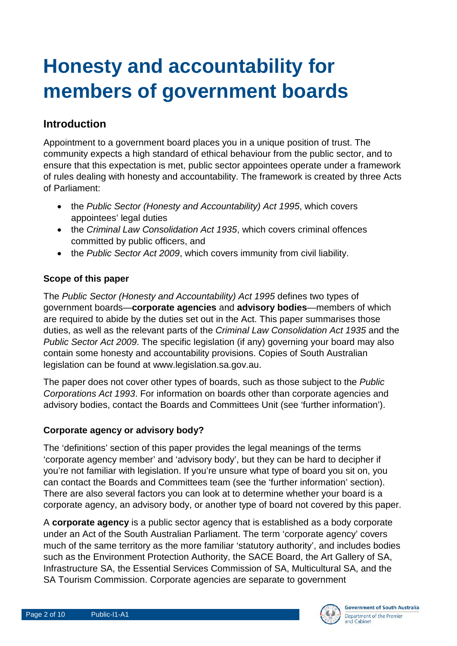# **Honesty and accountability for members of government boards**

# **Introduction**

Appointment to a government board places you in a unique position of trust. The community expects a high standard of ethical behaviour from the public sector, and to ensure that this expectation is met, public sector appointees operate under a framework of rules dealing with honesty and accountability. The framework is created by three Acts of Parliament:

- the *Public Sector (Honesty and Accountability) Act 1995*, which covers appointees' legal duties
- the *Criminal Law Consolidation Act 1935*, which covers criminal offences committed by public officers, and
- the *Public Sector Act 2009*, which covers immunity from civil liability.

## **Scope of this paper**

The *Public Sector (Honesty and Accountability) Act 1995* defines two types of government boards—**corporate agencies** and **advisory bodies**—members of which are required to abide by the duties set out in the Act. This paper summarises those duties, as well as the relevant parts of the *Criminal Law Consolidation Act 1935* and the *Public Sector Act 2009*. The specific legislation (if any) governing your board may also contain some honesty and accountability provisions. Copies of South Australian legislation can be found at www.legislation.sa.gov.au.

The paper does not cover other types of boards, such as those subject to the *Public Corporations Act 1993*. For information on boards other than corporate agencies and advisory bodies, contact the Boards and Committees Unit (see 'further information').

## **Corporate agency or advisory body?**

The 'definitions' section of this paper provides the legal meanings of the terms 'corporate agency member' and 'advisory body', but they can be hard to decipher if you're not familiar with legislation. If you're unsure what type of board you sit on, you can contact the Boards and Committees team (see the 'further information' section). There are also several factors you can look at to determine whether your board is a corporate agency, an advisory body, or another type of board not covered by this paper.

A **corporate agency** is a public sector agency that is established as a body corporate under an Act of the South Australian Parliament. The term 'corporate agency' covers much of the same territory as the more familiar 'statutory authority', and includes bodies such as the Environment Protection Authority, the SACE Board, the Art Gallery of SA, Infrastructure SA, the Essential Services Commission of SA, Multicultural SA, and the SA Tourism Commission. Corporate agencies are separate to government

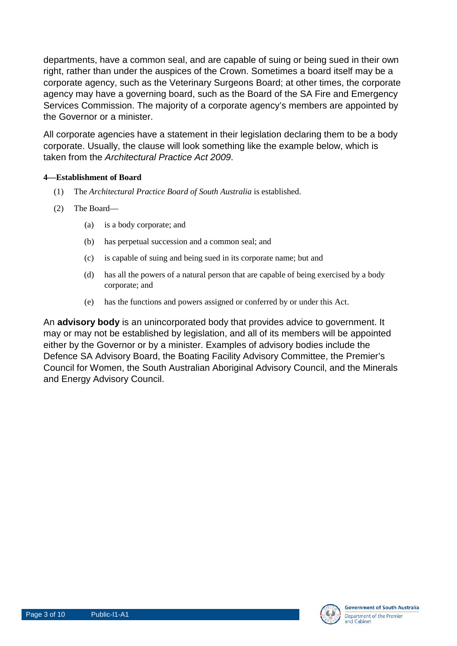departments, have a common seal, and are capable of suing or being sued in their own right, rather than under the auspices of the Crown. Sometimes a board itself may be a corporate agency, such as the Veterinary Surgeons Board; at other times, the corporate agency may have a governing board, such as the Board of the SA Fire and Emergency Services Commission. The majority of a corporate agency's members are appointed by the Governor or a minister.

All corporate agencies have a statement in their legislation declaring them to be a body corporate. Usually, the clause will look something like the example below, which is taken from the *Architectural Practice Act 2009*.

#### **4—Establishment of Board**

- (1) The *Architectural Practice Board of South Australia* is established.
- (2) The Board—
	- (a) is a body corporate; and
	- (b) has perpetual succession and a common seal; and
	- (c) is capable of suing and being sued in its corporate name; but and
	- (d) has all the powers of a natural person that are capable of being exercised by a body corporate; and
	- (e) has the functions and powers assigned or conferred by or under this Act.

An **advisory body** is an unincorporated body that provides advice to government. It may or may not be established by legislation, and all of its members will be appointed either by the Governor or by a minister. Examples of advisory bodies include the Defence SA Advisory Board, the Boating Facility Advisory Committee, the Premier's Council for Women, the South Australian Aboriginal Advisory Council, and the Minerals and Energy Advisory Council.

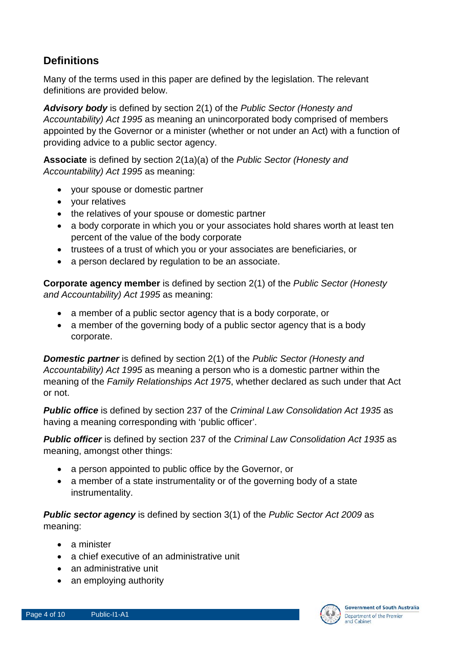# **Definitions**

Many of the terms used in this paper are defined by the legislation. The relevant definitions are provided below.

*Advisory body* is defined by section 2(1) of the *Public Sector (Honesty and Accountability) Act 1995* as meaning an unincorporated body comprised of members appointed by the Governor or a minister (whether or not under an Act) with a function of providing advice to a public sector agency.

**Associate** is defined by section 2(1a)(a) of the *Public Sector (Honesty and Accountability) Act 1995* as meaning:

- your spouse or domestic partner
- your relatives
- the relatives of your spouse or domestic partner
- a body corporate in which you or your associates hold shares worth at least ten percent of the value of the body corporate
- trustees of a trust of which you or your associates are beneficiaries, or
- a person declared by regulation to be an associate.

**Corporate agency member** is defined by section 2(1) of the *Public Sector (Honesty and Accountability) Act 1995* as meaning:

- a member of a public sector agency that is a body corporate, or
- a member of the governing body of a public sector agency that is a body corporate.

*Domestic partner* is defined by section 2(1) of the *Public Sector (Honesty and Accountability) Act 1995* as meaning a person who is a domestic partner within the meaning of the *Family Relationships Act 1975*, whether declared as such under that Act or not.

*Public office* is defined by section 237 of the *Criminal Law Consolidation Act 1935* as having a meaning corresponding with 'public officer'.

*Public officer* is defined by section 237 of the *Criminal Law Consolidation Act 1935* as meaning, amongst other things:

- a person appointed to public office by the Governor, or
- a member of a state instrumentality or of the governing body of a state instrumentality.

*Public sector agency* is defined by section 3(1) of the *Public Sector Act 2009* as meaning:

- a minister
- a chief executive of an administrative unit
- an administrative unit
- an employing authority



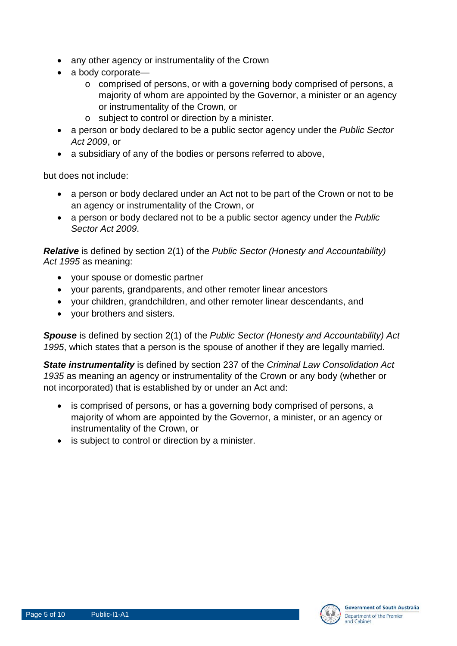- any other agency or instrumentality of the Crown
- a body corporate
	- o comprised of persons, or with a governing body comprised of persons, a majority of whom are appointed by the Governor, a minister or an agency or instrumentality of the Crown, or
	- o subject to control or direction by a minister.
- a person or body declared to be a public sector agency under the *Public Sector Act 2009*, or
- a subsidiary of any of the bodies or persons referred to above,

but does not include:

- a person or body declared under an Act not to be part of the Crown or not to be an agency or instrumentality of the Crown, or
- a person or body declared not to be a public sector agency under the *Public Sector Act 2009*.

*Relative* is defined by section 2(1) of the *Public Sector (Honesty and Accountability) Act 1995* as meaning:

- your spouse or domestic partner
- your parents, grandparents, and other remoter linear ancestors
- your children, grandchildren, and other remoter linear descendants, and
- your brothers and sisters.

*Spouse* is defined by section 2(1) of the *Public Sector (Honesty and Accountability) Act 1995*, which states that a person is the spouse of another if they are legally married.

*State instrumentality* is defined by section 237 of the *Criminal Law Consolidation Act 1935* as meaning an agency or instrumentality of the Crown or any body (whether or not incorporated) that is established by or under an Act and:

- is comprised of persons, or has a governing body comprised of persons, a majority of whom are appointed by the Governor, a minister, or an agency or instrumentality of the Crown, or
- is subject to control or direction by a minister.

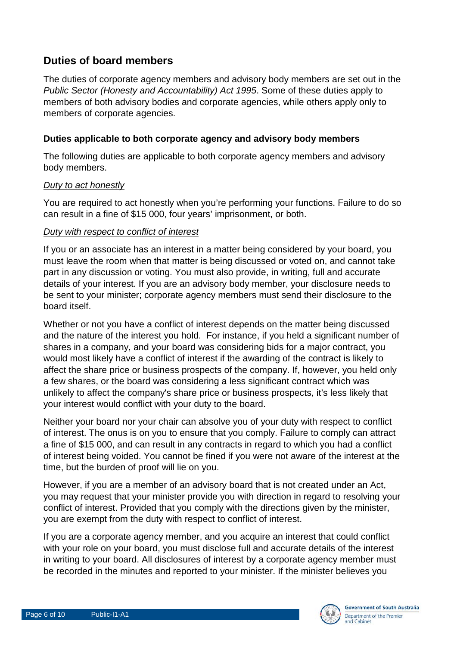## **Duties of board members**

The duties of corporate agency members and advisory body members are set out in the *Public Sector (Honesty and Accountability) Act 1995*. Some of these duties apply to members of both advisory bodies and corporate agencies, while others apply only to members of corporate agencies.

#### **Duties applicable to both corporate agency and advisory body members**

The following duties are applicable to both corporate agency members and advisory body members.

#### *Duty to act honestly*

You are required to act honestly when you're performing your functions. Failure to do so can result in a fine of \$15 000, four years' imprisonment, or both.

#### *Duty with respect to conflict of interest*

If you or an associate has an interest in a matter being considered by your board, you must leave the room when that matter is being discussed or voted on, and cannot take part in any discussion or voting. You must also provide, in writing, full and accurate details of your interest. If you are an advisory body member, your disclosure needs to be sent to your minister; corporate agency members must send their disclosure to the board itself.

Whether or not you have a conflict of interest depends on the matter being discussed and the nature of the interest you hold. For instance, if you held a significant number of shares in a company, and your board was considering bids for a major contract, you would most likely have a conflict of interest if the awarding of the contract is likely to affect the share price or business prospects of the company. If, however, you held only a few shares, or the board was considering a less significant contract which was unlikely to affect the company's share price or business prospects, it's less likely that your interest would conflict with your duty to the board.

Neither your board nor your chair can absolve you of your duty with respect to conflict of interest. The onus is on you to ensure that you comply. Failure to comply can attract a fine of \$15 000, and can result in any contracts in regard to which you had a conflict of interest being voided. You cannot be fined if you were not aware of the interest at the time, but the burden of proof will lie on you.

However, if you are a member of an advisory board that is not created under an Act, you may request that your minister provide you with direction in regard to resolving your conflict of interest. Provided that you comply with the directions given by the minister, you are exempt from the duty with respect to conflict of interest.

If you are a corporate agency member, and you acquire an interest that could conflict with your role on your board, you must disclose full and accurate details of the interest in writing to your board. All disclosures of interest by a corporate agency member must be recorded in the minutes and reported to your minister. If the minister believes you

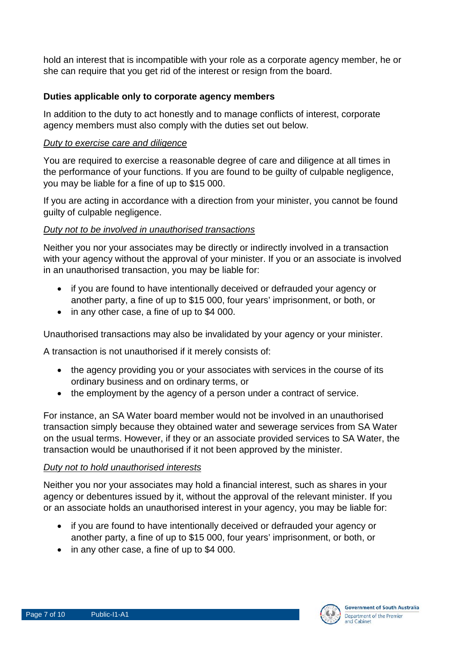hold an interest that is incompatible with your role as a corporate agency member, he or she can require that you get rid of the interest or resign from the board.

#### **Duties applicable only to corporate agency members**

In addition to the duty to act honestly and to manage conflicts of interest, corporate agency members must also comply with the duties set out below.

#### *Duty to exercise care and diligence*

You are required to exercise a reasonable degree of care and diligence at all times in the performance of your functions. If you are found to be guilty of culpable negligence, you may be liable for a fine of up to \$15 000.

If you are acting in accordance with a direction from your minister, you cannot be found guilty of culpable negligence.

#### *Duty not to be involved in unauthorised transactions*

Neither you nor your associates may be directly or indirectly involved in a transaction with your agency without the approval of your minister. If you or an associate is involved in an unauthorised transaction, you may be liable for:

- if you are found to have intentionally deceived or defrauded your agency or another party, a fine of up to \$15 000, four years' imprisonment, or both, or
- in any other case, a fine of up to \$4 000.

Unauthorised transactions may also be invalidated by your agency or your minister.

A transaction is not unauthorised if it merely consists of:

- the agency providing you or your associates with services in the course of its ordinary business and on ordinary terms, or
- the employment by the agency of a person under a contract of service.

For instance, an SA Water board member would not be involved in an unauthorised transaction simply because they obtained water and sewerage services from SA Water on the usual terms. However, if they or an associate provided services to SA Water, the transaction would be unauthorised if it not been approved by the minister.

#### *Duty not to hold unauthorised interests*

Neither you nor your associates may hold a financial interest, such as shares in your agency or debentures issued by it, without the approval of the relevant minister. If you or an associate holds an unauthorised interest in your agency, you may be liable for:

- if you are found to have intentionally deceived or defrauded your agency or another party, a fine of up to \$15 000, four years' imprisonment, or both, or
- in any other case, a fine of up to \$4 000.

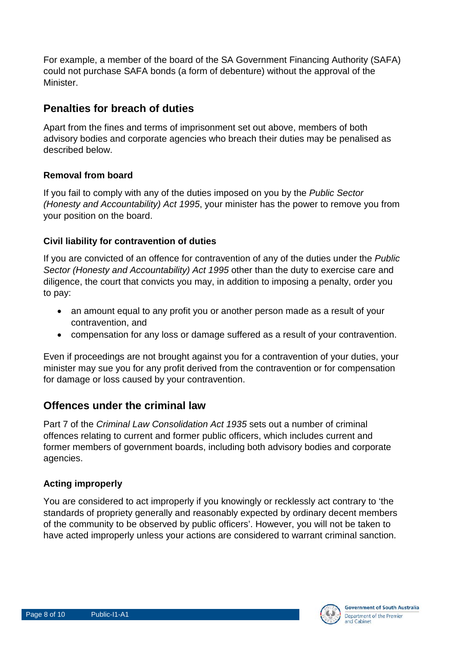For example, a member of the board of the SA Government Financing Authority (SAFA) could not purchase SAFA bonds (a form of debenture) without the approval of the **Minister** 

## **Penalties for breach of duties**

Apart from the fines and terms of imprisonment set out above, members of both advisory bodies and corporate agencies who breach their duties may be penalised as described below.

#### **Removal from board**

If you fail to comply with any of the duties imposed on you by the *Public Sector (Honesty and Accountability) Act 1995*, your minister has the power to remove you from your position on the board.

### **Civil liability for contravention of duties**

If you are convicted of an offence for contravention of any of the duties under the *Public Sector (Honesty and Accountability) Act 1995* other than the duty to exercise care and diligence, the court that convicts you may, in addition to imposing a penalty, order you to pay:

- an amount equal to any profit you or another person made as a result of your contravention, and
- compensation for any loss or damage suffered as a result of your contravention.

Even if proceedings are not brought against you for a contravention of your duties, your minister may sue you for any profit derived from the contravention or for compensation for damage or loss caused by your contravention.

## **Offences under the criminal law**

Part 7 of the *Criminal Law Consolidation Act 1935* sets out a number of criminal offences relating to current and former public officers, which includes current and former members of government boards, including both advisory bodies and corporate agencies.

## **Acting improperly**

You are considered to act improperly if you knowingly or recklessly act contrary to 'the standards of propriety generally and reasonably expected by ordinary decent members of the community to be observed by public officers'. However, you will not be taken to have acted improperly unless your actions are considered to warrant criminal sanction.

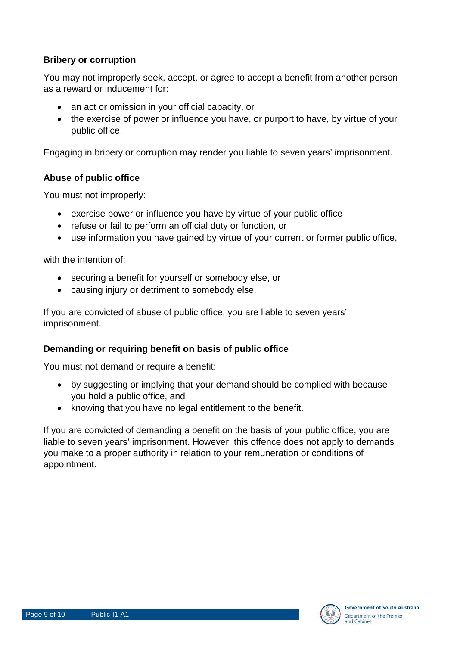#### **Bribery or corruption**

You may not improperly seek, accept, or agree to accept a benefit from another person as a reward or inducement for:

- an act or omission in your official capacity, or
- the exercise of power or influence you have, or purport to have, by virtue of your public office.

Engaging in bribery or corruption may render you liable to seven years' imprisonment.

#### **Abuse of public office**

You must not improperly:

- exercise power or influence you have by virtue of your public office
- refuse or fail to perform an official duty or function, or
- use information you have gained by virtue of your current or former public office,

with the intention of:

- securing a benefit for yourself or somebody else, or
- causing injury or detriment to somebody else.

If you are convicted of abuse of public office, you are liable to seven years' imprisonment.

#### **Demanding or requiring benefit on basis of public office**

You must not demand or require a benefit:

- by suggesting or implying that your demand should be complied with because you hold a public office, and
- knowing that you have no legal entitlement to the benefit.

If you are convicted of demanding a benefit on the basis of your public office, you are liable to seven years' imprisonment. However, this offence does not apply to demands you make to a proper authority in relation to your remuneration or conditions of appointment.